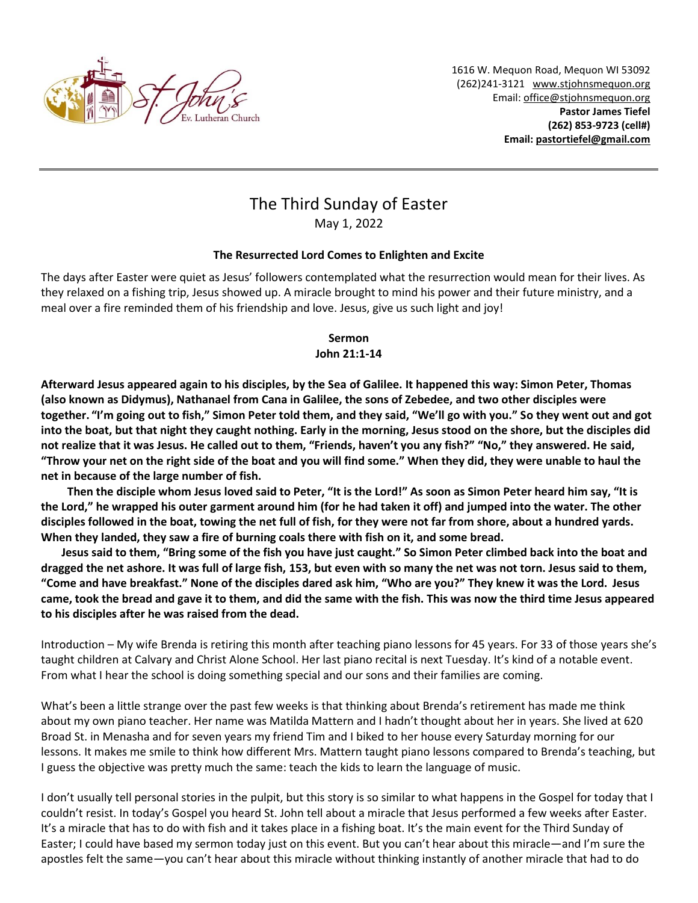

1616 W. Mequon Road, Mequon WI 53092 (262)241-3121 [www.stjohnsmequon.org](http://www.stjohnsmequon.org/) Email[: office@stjohnsmequon.org](mailto:office@stjohnsmequon.org) **Pastor James Tiefel (262) 853-9723 (cell#) Email: [pastortiefel@gmail.com](mailto:pastortiefel@gmail.com)**

## The Third Sunday of Easter May 1, 2022

## **The Resurrected Lord Comes to Enlighten and Excite**

The days after Easter were quiet as Jesus' followers contemplated what the resurrection would mean for their lives. As they relaxed on a fishing trip, Jesus showed up. A miracle brought to mind his power and their future ministry, and a meal over a fire reminded them of his friendship and love. Jesus, give us such light and joy!

## **Sermon John 21:1-14**

**Afterward Jesus appeared again to his disciples, by the Sea of Galilee. It happened this way: Simon Peter, Thomas (also known as Didymus), Nathanael from Cana in Galilee, the sons of Zebedee, and two other disciples were together. "I'm going out to fish," Simon Peter told them, and they said, "We'll go with you." So they went out and got into the boat, but that night they caught nothing. Early in the morning, Jesus stood on the shore, but the disciples did not realize that it was Jesus. He called out to them, "Friends, haven't you any fish?" "No," they answered. He said, "Throw your net on the right side of the boat and you will find some." When they did, they were unable to haul the net in because of the large number of fish.** 

 **Then the disciple whom Jesus loved said to Peter, "It is the Lord!" As soon as Simon Peter heard him say, "It is the Lord," he wrapped his outer garment around him (for he had taken it off) and jumped into the water. The other disciples followed in the boat, towing the net full of fish, for they were not far from shore, about a hundred yards. When they landed, they saw a fire of burning coals there with fish on it, and some bread.** 

**Jesus said to them, "Bring some of the fish you have just caught." So Simon Peter climbed back into the boat and dragged the net ashore. It was full of large fish, 153, but even with so many the net was not torn. Jesus said to them, "Come and have breakfast." None of the disciples dared ask him, "Who are you?" They knew it was the Lord. Jesus came, took the bread and gave it to them, and did the same with the fish. This was now the third time Jesus appeared to his disciples after he was raised from the dead.**

Introduction – My wife Brenda is retiring this month after teaching piano lessons for 45 years. For 33 of those years she's taught children at Calvary and Christ Alone School. Her last piano recital is next Tuesday. It's kind of a notable event. From what I hear the school is doing something special and our sons and their families are coming.

What's been a little strange over the past few weeks is that thinking about Brenda's retirement has made me think about my own piano teacher. Her name was Matilda Mattern and I hadn't thought about her in years. She lived at 620 Broad St. in Menasha and for seven years my friend Tim and I biked to her house every Saturday morning for our lessons. It makes me smile to think how different Mrs. Mattern taught piano lessons compared to Brenda's teaching, but I guess the objective was pretty much the same: teach the kids to learn the language of music.

I don't usually tell personal stories in the pulpit, but this story is so similar to what happens in the Gospel for today that I couldn't resist. In today's Gospel you heard St. John tell about a miracle that Jesus performed a few weeks after Easter. It's a miracle that has to do with fish and it takes place in a fishing boat. It's the main event for the Third Sunday of Easter; I could have based my sermon today just on this event. But you can't hear about this miracle—and I'm sure the apostles felt the same—you can't hear about this miracle without thinking instantly of another miracle that had to do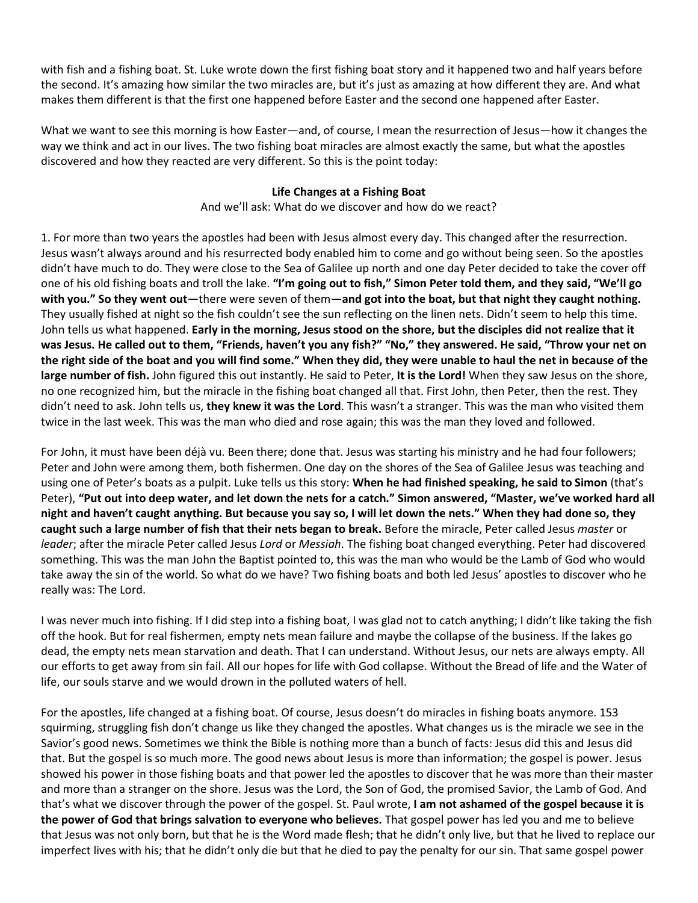with fish and a fishing boat. St. Luke wrote down the first fishing boat story and it happened two and half years before the second. It's amazing how similar the two miracles are, but it's just as amazing at how different they are. And what makes them different is that the first one happened before Easter and the second one happened after Easter.

What we want to see this morning is how Easter—and, of course, I mean the resurrection of Jesus—how it changes the way we think and act in our lives. The two fishing boat miracles are almost exactly the same, but what the apostles discovered and how they reacted are very different. So this is the point today:

## **Life Changes at a Fishing Boat**

And we'll ask: What do we discover and how do we react?

1. For more than two years the apostles had been with Jesus almost every day. This changed after the resurrection. Jesus wasn't always around and his resurrected body enabled him to come and go without being seen. So the apostles didn't have much to do. They were close to the Sea of Galilee up north and one day Peter decided to take the cover off one of his old fishing boats and troll the lake. **"I'm going out to fish," Simon Peter told them, and they said, "We'll go with you." So they went out**—there were seven of them—**and got into the boat, but that night they caught nothing.** They usually fished at night so the fish couldn't see the sun reflecting on the linen nets. Didn't seem to help this time. John tells us what happened. **Early in the morning, Jesus stood on the shore, but the disciples did not realize that it was Jesus. He called out to them, "Friends, haven't you any fish?" "No," they answered. He said, "Throw your net on the right side of the boat and you will find some." When they did, they were unable to haul the net in because of the large number of fish.** John figured this out instantly. He said to Peter, **It is the Lord!** When they saw Jesus on the shore, no one recognized him, but the miracle in the fishing boat changed all that. First John, then Peter, then the rest. They didn't need to ask. John tells us, **they knew it was the Lord**. This wasn't a stranger. This was the man who visited them twice in the last week. This was the man who died and rose again; this was the man they loved and followed.

For John, it must have been déjà vu. Been there; done that. Jesus was starting his ministry and he had four followers; Peter and John were among them, both fishermen. One day on the shores of the Sea of Galilee Jesus was teaching and using one of Peter's boats as a pulpit. Luke tells us this story: **When he had finished speaking, he said to Simon** (that's Peter), **"Put out into deep water, and let down the nets for a catch." Simon answered, "Master, we've worked hard all night and haven't caught anything. But because you say so, I will let down the nets." When they had done so, they caught such a large number of fish that their nets began to break.** Before the miracle, Peter called Jesus *master* or *leader*; after the miracle Peter called Jesus *Lord* or *Messiah*. The fishing boat changed everything. Peter had discovered something. This was the man John the Baptist pointed to, this was the man who would be the Lamb of God who would take away the sin of the world. So what do we have? Two fishing boats and both led Jesus' apostles to discover who he really was: The Lord.

I was never much into fishing. If I did step into a fishing boat, I was glad not to catch anything; I didn't like taking the fish off the hook. But for real fishermen, empty nets mean failure and maybe the collapse of the business. If the lakes go dead, the empty nets mean starvation and death. That I can understand. Without Jesus, our nets are always empty. All our efforts to get away from sin fail. All our hopes for life with God collapse. Without the Bread of life and the Water of life, our souls starve and we would drown in the polluted waters of hell.

For the apostles, life changed at a fishing boat. Of course, Jesus doesn't do miracles in fishing boats anymore. 153 squirming, struggling fish don't change us like they changed the apostles. What changes us is the miracle we see in the Savior's good news. Sometimes we think the Bible is nothing more than a bunch of facts: Jesus did this and Jesus did that. But the gospel is so much more. The good news about Jesus is more than information; the gospel is power. Jesus showed his power in those fishing boats and that power led the apostles to discover that he was more than their master and more than a stranger on the shore. Jesus was the Lord, the Son of God, the promised Savior, the Lamb of God. And that's what we discover through the power of the gospel. St. Paul wrote, **I am not ashamed of the gospel because it is the power of God that brings salvation to everyone who believes.** That gospel power has led you and me to believe that Jesus was not only born, but that he is the Word made flesh; that he didn't only live, but that he lived to replace our imperfect lives with his; that he didn't only die but that he died to pay the penalty for our sin. That same gospel power